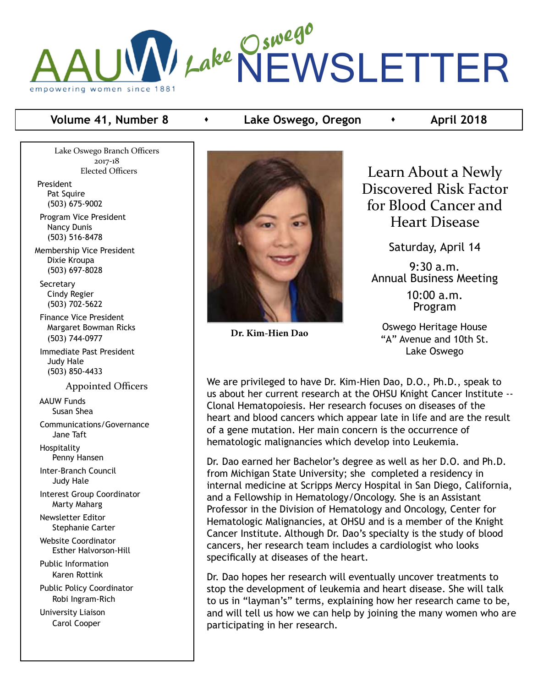## Lake Oswego NEWSLETTER empowering women since 1881

#### **Volume 41, Number 8**  $\longrightarrow$  **Lake Oswego, Oregon**  $\longrightarrow$  **April 2018**

Lake Oswego Branch Officers 2017-18 Elected Officers

President Pat Squire (503) 675-9002

 Program Vice President Nancy Dunis (503) 516-8478

Membership Vice President Dixie Kroupa (503) 697-8028

 Secretary Cindy Regier (503) 702-5622

 Finance Vice President Margaret Bowman Ricks (503) 744-0977

 Immediate Past President Judy Hale (503) 850-4433

Appointed Officers

 AAUW Funds Susan Shea

 Communications/Governance Jane Taft

 Hospitality Penny Hansen

 Inter-Branch Council Judy Hale

 Interest Group Coordinator Marty Maharg

 Newsletter Editor Stephanie Carter

 Website Coordinator Esther Halvorson-Hill

 Public Information Karen Rottink

 Public Policy Coordinator Robi Ingram-Rich

 University Liaison Carol Cooper



**Dr. Kim-Hien Dao**

Learn About a Newly Discovered Risk Factor for Blood Cancer and Heart Disease

Saturday, April 14

9:30 a.m. Annual Business Meeting

> 10:00 a.m. Program

Oswego Heritage House "A" Avenue and 10th St. Lake Oswego

We are privileged to have Dr. Kim-Hien Dao, D.O., Ph.D., speak to us about her current research at the OHSU Knight Cancer Institute -- Clonal Hematopoiesis. Her research focuses on diseases of the heart and blood cancers which appear late in life and are the result of a gene mutation. Her main concern is the occurrence of hematologic malignancies which develop into Leukemia.

Dr. Dao earned her Bachelor's degree as well as her D.O. and Ph.D. from Michigan State University; she completed a residency in internal medicine at Scripps Mercy Hospital in San Diego, California, and a Fellowship in Hematology/Oncology. She is an Assistant Professor in the Division of Hematology and Oncology, Center for Hematologic Malignancies, at OHSU and is a member of the Knight Cancer Institute. Although Dr. Dao's specialty is the study of blood cancers, her research team includes a cardiologist who looks specifically at diseases of the heart.

Dr. Dao hopes her research will eventually uncover treatments to stop the development of leukemia and heart disease. She will talk to us in "layman's" terms, explaining how her research came to be, and will tell us how we can help by joining the many women who are participating in her research.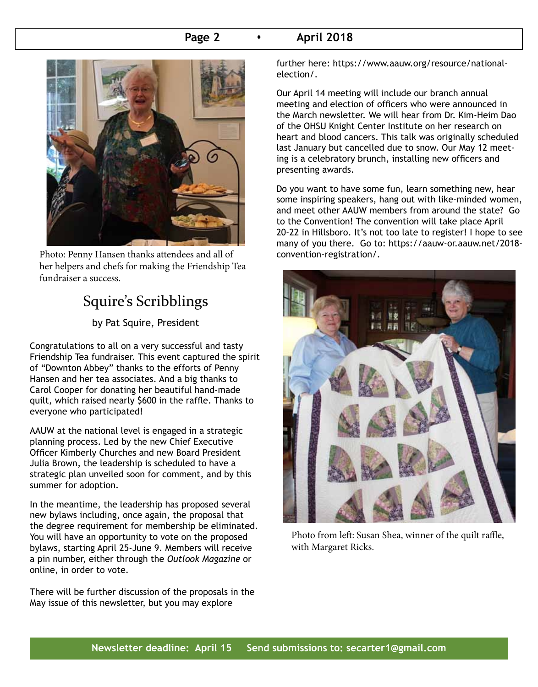#### **Page 2 • April 2018**



Photo: Penny Hansen thanks attendees and all of convention-registration/. her helpers and chefs for making the Friendship Tea fundraiser a success.

## Squire's Scribblings

by Pat Squire, President

Congratulations to all on a very successful and tasty Friendship Tea fundraiser. This event captured the spirit of "Downton Abbey" thanks to the efforts of Penny Hansen and her tea associates. And a big thanks to Carol Cooper for donating her beautiful hand-made quilt, which raised nearly \$600 in the raffle. Thanks to everyone who participated!

AAUW at the national level is engaged in a strategic planning process. Led by the new Chief Executive Officer Kimberly Churches and new Board President Julia Brown, the leadership is scheduled to have a strategic plan unveiled soon for comment, and by this summer for adoption.

In the meantime, the leadership has proposed several new bylaws including, once again, the proposal that the degree requirement for membership be eliminated. You will have an opportunity to vote on the proposed bylaws, starting April 25-June 9. Members will receive a pin number, either through the *Outlook Magazine* or online, in order to vote.

There will be further discussion of the proposals in the May issue of this newsletter, but you may explore

further here: https://www.aauw.org/resource/nationalelection/.

Our April 14 meeting will include our branch annual meeting and election of officers who were announced in the March newsletter. We will hear from Dr. Kim-Heim Dao of the OHSU Knight Center Institute on her research on heart and blood cancers. This talk was originally scheduled last January but cancelled due to snow. Our May 12 meeting is a celebratory brunch, installing new officers and presenting awards.

Do you want to have some fun, learn something new, hear some inspiring speakers, hang out with like-minded women, and meet other AAUW members from around the state? Go to the Convention! The convention will take place April 20-22 in Hillsboro. It's not too late to register! I hope to see many of you there. Go to: https://aauw-or.aauw.net/2018-



Photo from left: Susan Shea, winner of the quilt raffle, with Margaret Ricks.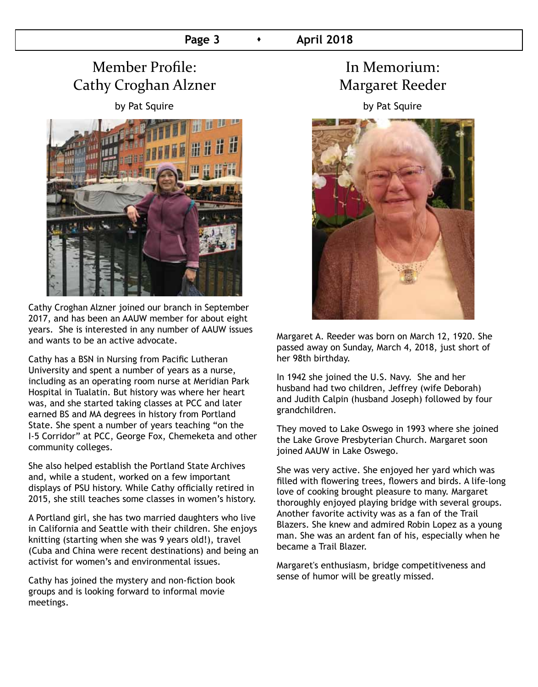## Member Profile: Cathy Croghan Alzner

by Pat Squire



Cathy Croghan Alzner joined our branch in September 2017, and has been an AAUW member for about eight years. She is interested in any number of AAUW issues and wants to be an active advocate.

Cathy has a BSN in Nursing from Pacific Lutheran University and spent a number of years as a nurse, including as an operating room nurse at Meridian Park Hospital in Tualatin. But history was where her heart was, and she started taking classes at PCC and later earned BS and MA degrees in history from Portland State. She spent a number of years teaching "on the I-5 Corridor" at PCC, George Fox, Chemeketa and other community colleges.

She also helped establish the Portland State Archives and, while a student, worked on a few important displays of PSU history. While Cathy officially retired in 2015, she still teaches some classes in women's history.

A Portland girl, she has two married daughters who live in California and Seattle with their children. She enjoys knitting (starting when she was 9 years old!), travel (Cuba and China were recent destinations) and being an activist for women's and environmental issues.

Cathy has joined the mystery and non-fiction book groups and is looking forward to informal movie meetings.

## In Memorium: Margaret Reeder

by Pat Squire



Margaret A. Reeder was born on March 12, 1920. She passed away on Sunday, March 4, 2018, just short of her 98th birthday.

In 1942 she joined the U.S. Navy. She and her husband had two children, Jeffrey (wife Deborah) and Judith Calpin (husband Joseph) followed by four grandchildren.

They moved to Lake Oswego in 1993 where she joined the Lake Grove Presbyterian Church. Margaret soon joined AAUW in Lake Oswego.

She was very active. She enjoyed her yard which was filled with flowering trees, flowers and birds. A life-long love of cooking brought pleasure to many. Margaret thoroughly enjoyed playing bridge with several groups. Another favorite activity was as a fan of the Trail Blazers. She knew and admired Robin Lopez as a young man. She was an ardent fan of his, especially when he became a Trail Blazer.

Margaret's enthusiasm, bridge competitiveness and sense of humor will be greatly missed.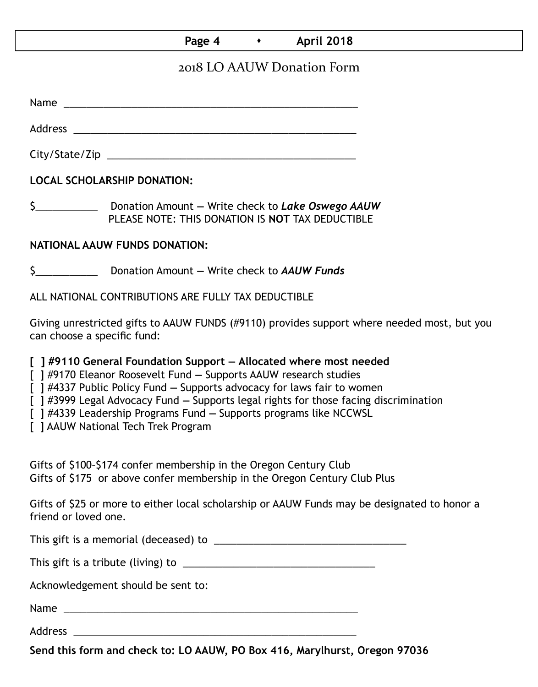#### **Page 4 • April 2018**

#### 2018 LO AAUW Donation Form

Name was also as a set of  $\sim$  200  $\mu$  m  $\sim$  200  $\mu$  m  $\sim$  200  $\mu$  m  $\sim$  200  $\mu$  m  $\sim$  200  $\mu$ 

Address \_\_\_\_\_\_\_\_\_\_\_\_\_\_\_\_\_\_\_\_\_\_\_\_\_\_\_\_\_\_\_\_\_\_\_\_\_\_\_\_\_\_\_\_\_\_\_\_\_\_

City/State/Zip \_\_\_\_\_\_\_\_\_\_\_\_\_\_\_\_\_\_\_\_\_\_\_\_\_\_\_\_\_\_\_\_\_\_\_\_\_\_\_\_\_\_\_\_

**LOCAL SCHOLARSHIP DONATION:**

\$\_\_\_\_\_\_\_\_\_\_\_ Donation Amount **—** Write check to *Lake Oswego AAUW* PLEASE NOTE: THIS DONATION IS **NOT** TAX DEDUCTIBLE

#### **NATIONAL AAUW FUNDS DONATION:**

\$\_\_\_\_\_\_\_\_\_\_\_ Donation Amount **—** Write check to *AAUW Funds*

ALL NATIONAL CONTRIBUTIONS ARE FULLY TAX DEDUCTIBLE

Giving unrestricted gifts to AAUW FUNDS (#9110) provides support where needed most, but you can choose a specific fund:

**[ ] #9110 General Foundation Support — Allocated where most needed** 

[ ] #9170 Eleanor Roosevelt Fund **—** Supports AAUW research studies

[ ] #4337 Public Policy Fund **—** Supports advocacy for laws fair to women

[ ] #3999 Legal Advocacy Fund **—** Supports legal rights for those facing discrimination

[ ] #4339 Leadership Programs Fund **—** Supports programs like NCCWSL

[ ] AAUW National Tech Trek Program

Gifts of \$100–\$174 confer membership in the Oregon Century Club Gifts of \$175 or above confer membership in the Oregon Century Club Plus

Gifts of \$25 or more to either local scholarship or AAUW Funds may be designated to honor a friend or loved one.

This gift is a memorial (deceased) to \_\_\_\_\_\_\_\_\_\_\_\_\_\_\_\_\_\_\_\_\_\_\_\_\_\_\_\_\_\_\_\_\_\_

This gift is a tribute (living) to \_\_\_\_\_\_\_\_\_\_\_\_\_\_\_\_\_\_\_\_\_\_\_\_\_\_\_\_\_\_\_\_\_\_

Acknowledgement should be sent to:

Name \_\_\_\_\_\_\_\_\_\_\_\_\_\_\_\_\_\_\_\_\_\_\_\_\_\_\_\_\_\_\_\_\_\_\_\_\_\_\_\_\_\_\_\_\_\_\_\_\_\_\_\_

Address \_\_\_\_\_\_\_\_\_\_\_\_\_\_\_\_\_\_\_\_\_\_\_\_\_\_\_\_\_\_\_\_\_\_\_\_\_\_\_\_\_\_\_\_\_\_\_\_\_\_

**Send this form and check to: LO AAUW, PO Box 416, Marylhurst, Oregon 97036**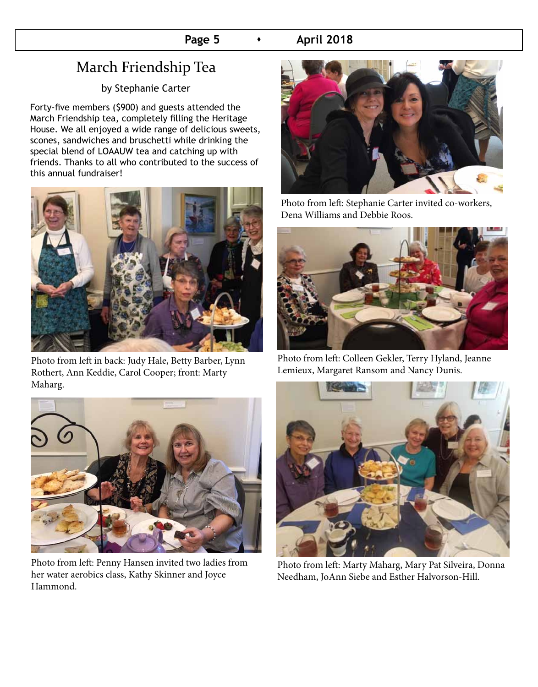#### **Page 5**  $\longrightarrow$  **April 2018**

## March Friendship Tea

by Stephanie Carter

Forty-five members (\$900) and guests attended the March Friendship tea, completely filling the Heritage House. We all enjoyed a wide range of delicious sweets, scones, sandwiches and bruschetti while drinking the special blend of LOAAUW tea and catching up with friends. Thanks to all who contributed to the success of this annual fundraiser!



Photo from left in back: Judy Hale, Betty Barber, Lynn Rothert, Ann Keddie, Carol Cooper; front: Marty Maharg.



Photo from left: Penny Hansen invited two ladies from her water aerobics class, Kathy Skinner and Joyce Hammond.



Photo from left: Stephanie Carter invited co-workers, Dena Williams and Debbie Roos.



Photo from left: Colleen Gekler, Terry Hyland, Jeanne Lemieux, Margaret Ransom and Nancy Dunis.



Photo from left: Marty Maharg, Mary Pat Silveira, Donna Needham, JoAnn Siebe and Esther Halvorson-Hill.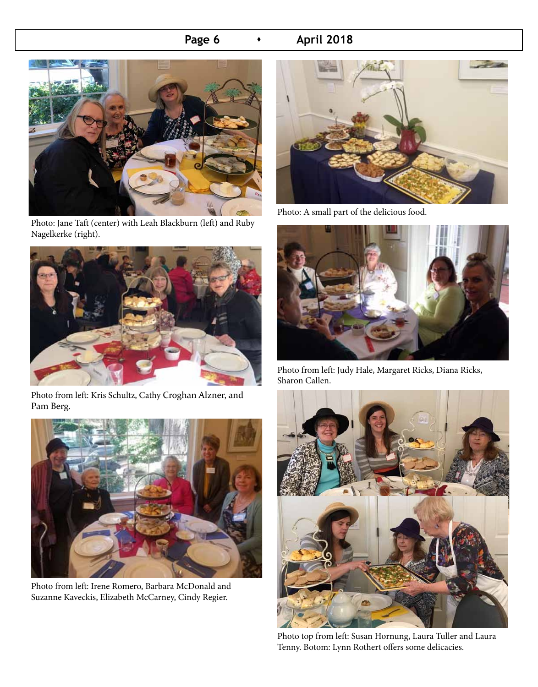#### **Page 6 • April 2018**



Photo: Jane Taft (center) with Leah Blackburn (left) and Ruby Nagelkerke (right).



Photo from left: Kris Schultz, Cathy Croghan Alzner, and Pam Berg.



Photo from left: Irene Romero, Barbara McDonald and Suzanne Kaveckis, Elizabeth McCarney, Cindy Regier.



Photo: A small part of the delicious food.



Photo from left: Judy Hale, Margaret Ricks, Diana Ricks, Sharon Callen.



Photo top from left: Susan Hornung, Laura Tuller and Laura Tenny. Botom: Lynn Rothert offers some delicacies.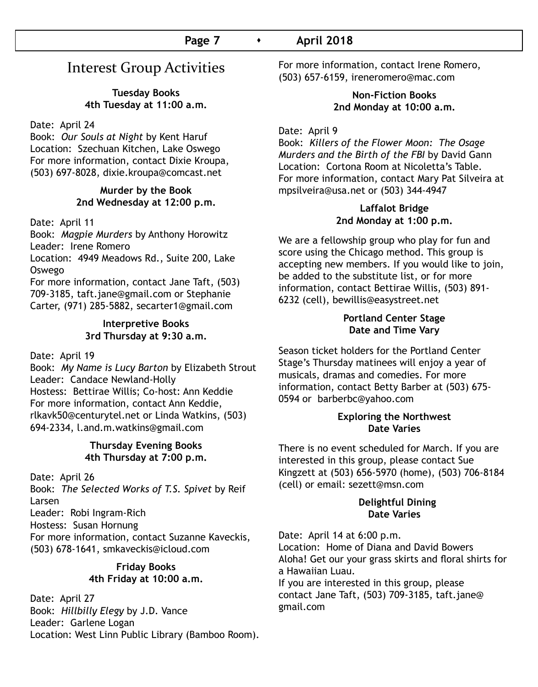## Interest Group Activities

**Tuesday Books 4th Tuesday at 11:00 a.m.**

Date: April 24

Book: *Our Souls at Night* by Kent Haruf Location: Szechuan Kitchen, Lake Oswego For more information, contact Dixie Kroupa, (503) 697-8028, dixie.kroupa@comcast.net

#### **Murder by the Book 2nd Wednesday at 12:00 p.m.**

Date: April 11

Book: *Magpie Murders* by Anthony Horowitz Leader: Irene Romero

Location: 4949 Meadows Rd., Suite 200, Lake Oswego

For more information, contact Jane Taft, (503) 709-3185, taft.jane@gmail.com or Stephanie Carter, (971) 285-5882, secarter1@gmail.com

#### **Interpretive Books 3rd Thursday at 9:30 a.m.**

Date: April 19

Book: *My Name is Lucy Barton* by Elizabeth Strout Leader: Candace Newland-Holly Hostess: Bettirae Willis; Co-host: Ann Keddie For more information, contact Ann Keddie, rlkavk50@centurytel.net or Linda Watkins, (503) 694-2334, l.and.m.watkins@gmail.com

#### **Thursday Evening Books 4th Thursday at 7:00 p.m.**

Date: April 26 Book: *The Selected Works of T.S. Spivet* by Reif Larsen Leader: Robi Ingram-Rich Hostess: Susan Hornung For more information, contact Suzanne Kaveckis, (503) 678-1641, smkaveckis@icloud.com

#### **Friday Books 4th Friday at 10:00 a.m.**

Date: April 27 Book: *Hillbilly Elegy* by J.D. Vance Leader: Garlene Logan Location: West Linn Public Library (Bamboo Room). For more information, contact Irene Romero, (503) 657-6159, ireneromero@mac.com

#### **Non-Fiction Books 2nd Monday at 10:00 a.m.**

Date: April 9

Book: *Killers of the Flower Moon: The Osage Murders and the Birth of the FBI* by David Gann Location: Cortona Room at Nicoletta's Table. For more information, contact Mary Pat Silveira at mpsilveira@usa.net or (503) 344-4947

#### **Laffalot Bridge 2nd Monday at 1:00 p.m.**

We are a fellowship group who play for fun and score using the Chicago method. This group is accepting new members. If you would like to join, be added to the substitute list, or for more information, contact Bettirae Willis, (503) 891- 6232 (cell), bewillis@easystreet.net

#### **Portland Center Stage Date and Time Vary**

Season ticket holders for the Portland Center Stage's Thursday matinees will enjoy a year of musicals, dramas and comedies. For more information, contact Betty Barber at (503) 675- 0594 or barberbc@yahoo.com

#### **Exploring the Northwest Date Varies**

There is no event scheduled for March. If you are interested in this group, please contact Sue Kingzett at (503) 656-5970 (home), (503) 706-8184 (cell) or email: sezett@msn.com

#### **Delightful Dining Date Varies**

Date: April 14 at 6:00 p.m. Location: Home of Diana and David Bowers Aloha! Get our your grass skirts and floral shirts for a Hawaiian Luau. If you are interested in this group, please contact Jane Taft, (503) 709-3185, taft.jane@ gmail.com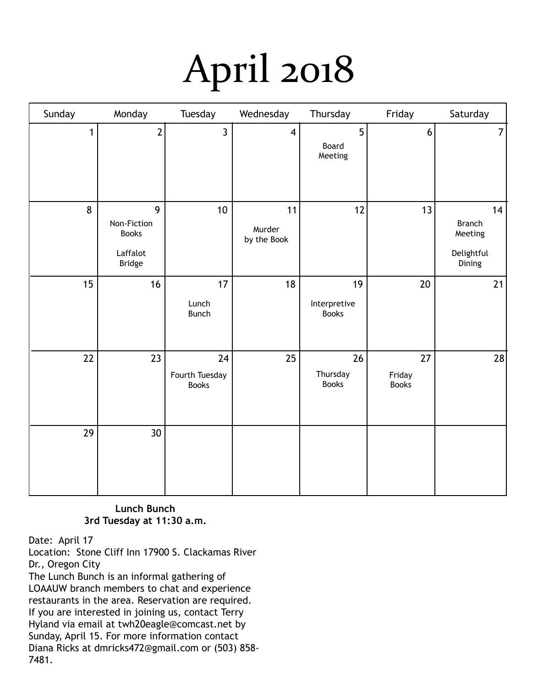# April 2018

| Sunday       | Monday                                                        | Tuesday                              | Wednesday                   | Thursday                           | Friday                       | Saturday                                               |
|--------------|---------------------------------------------------------------|--------------------------------------|-----------------------------|------------------------------------|------------------------------|--------------------------------------------------------|
| $\mathbf{1}$ | $\overline{2}$                                                | $\overline{3}$                       | $\overline{\mathbf{4}}$     | 5<br>Board<br>Meeting              | $\boldsymbol{6}$             | $\overline{7}$                                         |
| 8            | 9<br>Non-Fiction<br><b>Books</b><br>Laffalot<br><b>Bridge</b> | $10$                                 | 11<br>Murder<br>by the Book | 12                                 | 13                           | 14<br><b>Branch</b><br>Meeting<br>Delightful<br>Dining |
| 15           | 16                                                            | 17<br>Lunch<br><b>Bunch</b>          | 18                          | 19<br>Interpretive<br><b>Books</b> | $20\,$                       | 21                                                     |
| 22           | 23                                                            | 24<br>Fourth Tuesday<br><b>Books</b> | 25                          | 26<br>Thursday<br><b>Books</b>     | 27<br>Friday<br><b>Books</b> | 28                                                     |
| 29           | 30 <sup>°</sup>                                               |                                      |                             |                                    |                              |                                                        |

#### **Lunch Bunch 3rd Tuesday at 11:30 a.m.**

Date: April 17

Location: Stone Cliff Inn 17900 S. Clackamas River Dr., Oregon City The Lunch Bunch is an informal gathering of LOAAUW branch members to chat and experience restaurants in the area. Reservation are required. If you are interested in joining us, contact Terry Hyland via email at twh20eagle@comcast.net by Sunday, April 15. For more information contact Diana Ricks at dmricks472@gmail.com or (503) 858- 7481.